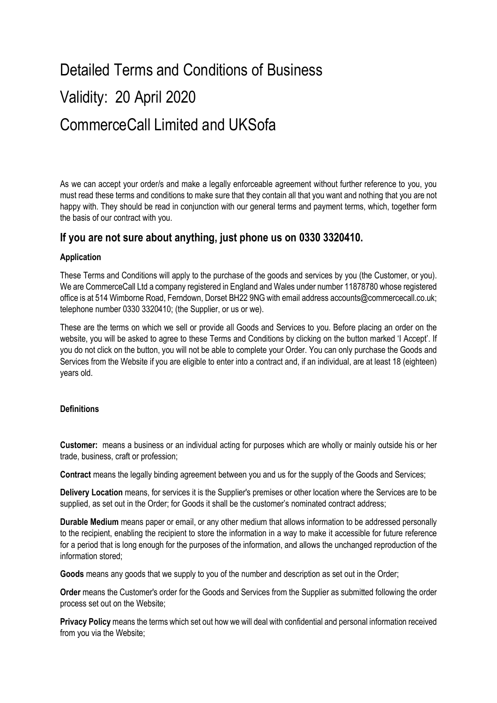# Detailed Terms and Conditions of Business Validity: 20 April 2020 CommerceCall Limited and UKSofa

As we can accept your order/s and make a legally enforceable agreement without further reference to you, you must read these terms and conditions to make sure that they contain all that you want and nothing that you are not happy with. They should be read in conjunction with our general terms and payment terms, which, together form the basis of our contract with you.

# If you are not sure about anything, just phone us on 0330 3320410.

# Application

These Terms and Conditions will apply to the purchase of the goods and services by you (the Customer, or you). We are CommerceCall Ltd a company registered in England and Wales under number 11878780 whose registered office is at 514 Wimborne Road, Ferndown, Dorset BH22 9NG with email address accounts@commercecall.co.uk; telephone number 0330 3320410; (the Supplier, or us or we).

These are the terms on which we sell or provide all Goods and Services to you. Before placing an order on the website, you will be asked to agree to these Terms and Conditions by clicking on the button marked 'I Accept'. If you do not click on the button, you will not be able to complete your Order. You can only purchase the Goods and Services from the Website if you are eligible to enter into a contract and, if an individual, are at least 18 (eighteen) years old.

# **Definitions**

Customer: means a business or an individual acting for purposes which are wholly or mainly outside his or her trade, business, craft or profession;

Contract means the legally binding agreement between you and us for the supply of the Goods and Services;

Delivery Location means, for services it is the Supplier's premises or other location where the Services are to be supplied, as set out in the Order; for Goods it shall be the customer's nominated contract address;

Durable Medium means paper or email, or any other medium that allows information to be addressed personally to the recipient, enabling the recipient to store the information in a way to make it accessible for future reference for a period that is long enough for the purposes of the information, and allows the unchanged reproduction of the information stored;

Goods means any goods that we supply to you of the number and description as set out in the Order;

Order means the Customer's order for the Goods and Services from the Supplier as submitted following the order process set out on the Website;

Privacy Policy means the terms which set out how we will deal with confidential and personal information received from you via the Website;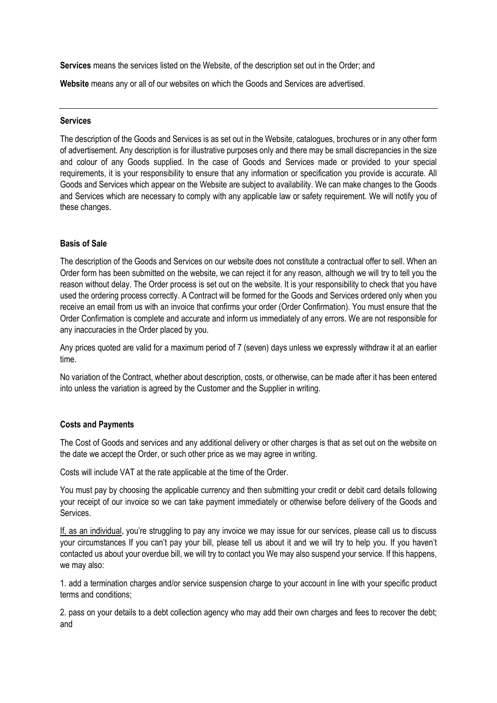Services means the services listed on the Website, of the description set out in the Order; and

Website means any or all of our websites on which the Goods and Services are advertised.

#### **Services**

The description of the Goods and Services is as set out in the Website, catalogues, brochures or in any other form of advertisement. Any description is for illustrative purposes only and there may be small discrepancies in the size and colour of any Goods supplied. In the case of Goods and Services made or provided to your special requirements, it is your responsibility to ensure that any information or specification you provide is accurate. All Goods and Services which appear on the Website are subject to availability. We can make changes to the Goods and Services which are necessary to comply with any applicable law or safety requirement. We will notify you of these changes.

#### Basis of Sale

The description of the Goods and Services on our website does not constitute a contractual offer to sell. When an Order form has been submitted on the website, we can reject it for any reason, although we will try to tell you the reason without delay. The Order process is set out on the website. It is your responsibility to check that you have used the ordering process correctly. A Contract will be formed for the Goods and Services ordered only when you receive an email from us with an invoice that confirms your order (Order Confirmation). You must ensure that the Order Confirmation is complete and accurate and inform us immediately of any errors. We are not responsible for any inaccuracies in the Order placed by you.

Any prices quoted are valid for a maximum period of 7 (seven) days unless we expressly withdraw it at an earlier time.

No variation of the Contract, whether about description, costs, or otherwise, can be made after it has been entered into unless the variation is agreed by the Customer and the Supplier in writing.

#### Costs and Payments

The Cost of Goods and services and any additional delivery or other charges is that as set out on the website on the date we accept the Order, or such other price as we may agree in writing.

Costs will include VAT at the rate applicable at the time of the Order.

You must pay by choosing the applicable currency and then submitting your credit or debit card details following your receipt of our invoice so we can take payment immediately or otherwise before delivery of the Goods and Services.

If, as an individual, you're struggling to pay any invoice we may issue for our services, please call us to discuss your circumstances If you can't pay your bill, please tell us about it and we will try to help you. If you haven't contacted us about your overdue bill, we will try to contact you We may also suspend your service. If this happens, we may also:

1. add a termination charges and/or service suspension charge to your account in line with your specific product terms and conditions;

2. pass on your details to a debt collection agency who may add their own charges and fees to recover the debt; and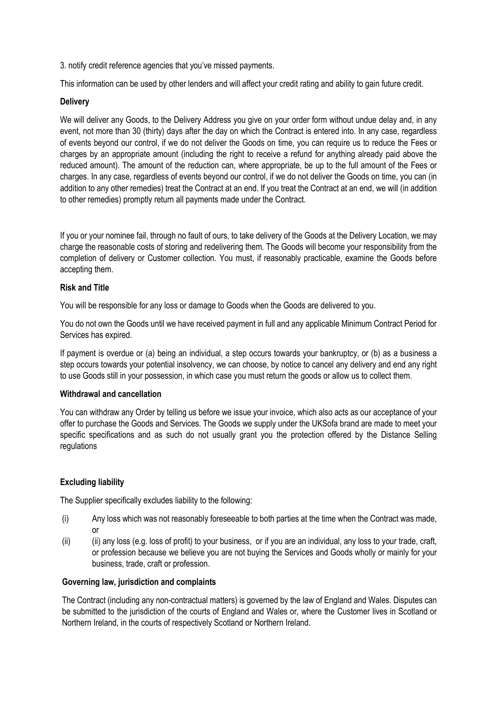3. notify credit reference agencies that you've missed payments.

This information can be used by other lenders and will affect your credit rating and ability to gain future credit.

### **Delivery**

We will deliver any Goods, to the Delivery Address you give on your order form without undue delay and, in any event, not more than 30 (thirty) days after the day on which the Contract is entered into. In any case, regardless of events beyond our control, if we do not deliver the Goods on time, you can require us to reduce the Fees or charges by an appropriate amount (including the right to receive a refund for anything already paid above the reduced amount). The amount of the reduction can, where appropriate, be up to the full amount of the Fees or charges. In any case, regardless of events beyond our control, if we do not deliver the Goods on time, you can (in addition to any other remedies) treat the Contract at an end. If you treat the Contract at an end, we will (in addition to other remedies) promptly return all payments made under the Contract.

If you or your nominee fail, through no fault of ours, to take delivery of the Goods at the Delivery Location, we may charge the reasonable costs of storing and redelivering them. The Goods will become your responsibility from the completion of delivery or Customer collection. You must, if reasonably practicable, examine the Goods before accepting them.

#### Risk and Title

You will be responsible for any loss or damage to Goods when the Goods are delivered to you.

You do not own the Goods until we have received payment in full and any applicable Minimum Contract Period for Services has expired.

If payment is overdue or (a) being an individual, a step occurs towards your bankruptcy, or (b) as a business a step occurs towards your potential insolvency, we can choose, by notice to cancel any delivery and end any right to use Goods still in your possession, in which case you must return the goods or allow us to collect them.

#### Withdrawal and cancellation

You can withdraw any Order by telling us before we issue your invoice, which also acts as our acceptance of your offer to purchase the Goods and Services. The Goods we supply under the UKSofa brand are made to meet your specific specifications and as such do not usually grant you the protection offered by the Distance Selling regulations

# Excluding liability

The Supplier specifically excludes liability to the following:

- (i) Any loss which was not reasonably foreseeable to both parties at the time when the Contract was made, or
- (ii) (ii) any loss (e.g. loss of profit) to your business, or if you are an individual, any loss to your trade, craft, or profession because we believe you are not buying the Services and Goods wholly or mainly for your business, trade, craft or profession.

# Governing law, jurisdiction and complaints

The Contract (including any non-contractual matters) is governed by the law of England and Wales. Disputes can be submitted to the jurisdiction of the courts of England and Wales or, where the Customer lives in Scotland or Northern Ireland, in the courts of respectively Scotland or Northern Ireland.